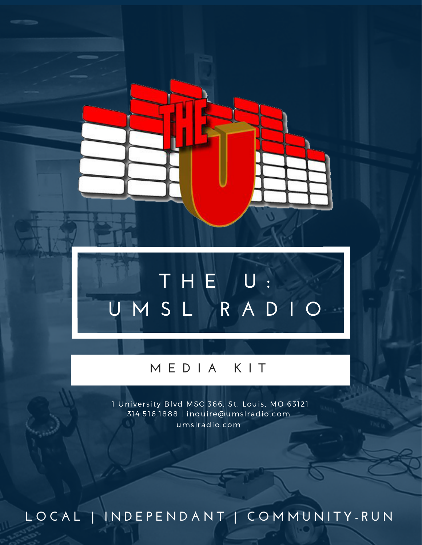### **T H E U : U M S L R A D I O**

#### **M E D I A K I T**

314.516.1888 | inquire@umslradio.com 1 University Blvd MSC 366, St. Louis, MO 63121 umslradio.com

LOCAL | INDEPENDANT | COMMUNITY-RUN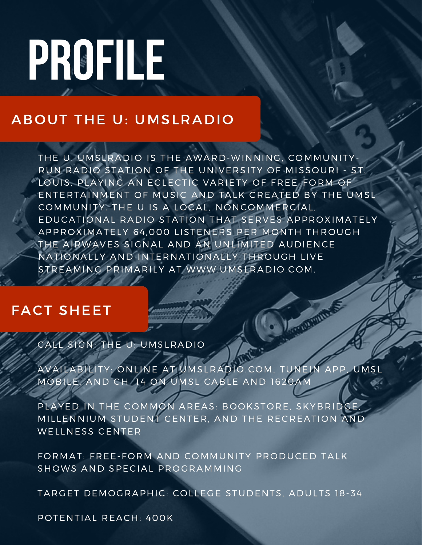## PROFILE

#### ABOUT THE U: UMSLRADIO

THE U: UMSLRADIO IS THE AWARD-WINNING, COMMUNITY-RUN RADIO STATION OF THE UNIVERSITY OF MISSOURI - ST. LOUIS, PLAYING AN ECLECTIC VARIETY OF FREE-FORM OF ENTERTAINMENT OF MUSIC AND TALK CREATED BY THE UMSL COMMUNITY. THE U IS A LOCAL, NONCOMMERCIAL, EDUCATIONAL RADIO STATION THAT SERVES APPROXIMATELY APPROXIMATELY 64,000 LISTENERS PER MONTH THROUGH THE AIRWAVES SIGNAL AND AN UNLIMITED AUDIENCE NATIONALLY AND INTERNATIONALLY THROUGH LIVE STREAMING PRIMARILY AT WWW.UMSLRADIO.COM.

#### FACT SHEET

#### CALL SIGN: THE U: UMSLRADIO

AVAILABILITY: ONLINE AT UMSLRADIO.COM, TUNEIN APP, UMSL MOBILE, AND CH. 14 ON UMSL CABLE AND 1620AM

**CENTRALITY** 

PLAYED IN THE COMMON AREAS: BOOKSTORE, SKYBRIDGE, MILLENNIUM STUDENT CENTER, AND THE RECREATION AND WELLNESS CENTER

FORMAT: FREE-FORM AND COMMUNITY PRODUCED TALK SHOWS AND SPECIAL PROGRAMMING

TARGET DEMOGRAPHIC: COLLEGE STUDENTS, ADULTS 18-34

POTENTIAL REACH: 400K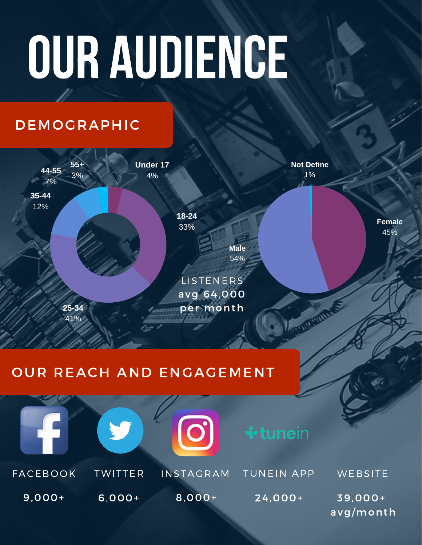# OUR AUDIENCE

#### DEMOGRAPHIC



**Not Define** 1%

Mauritime S

**Female** 45%

#### OUR REACH AND ENGAGEMENT



**Male** 54%